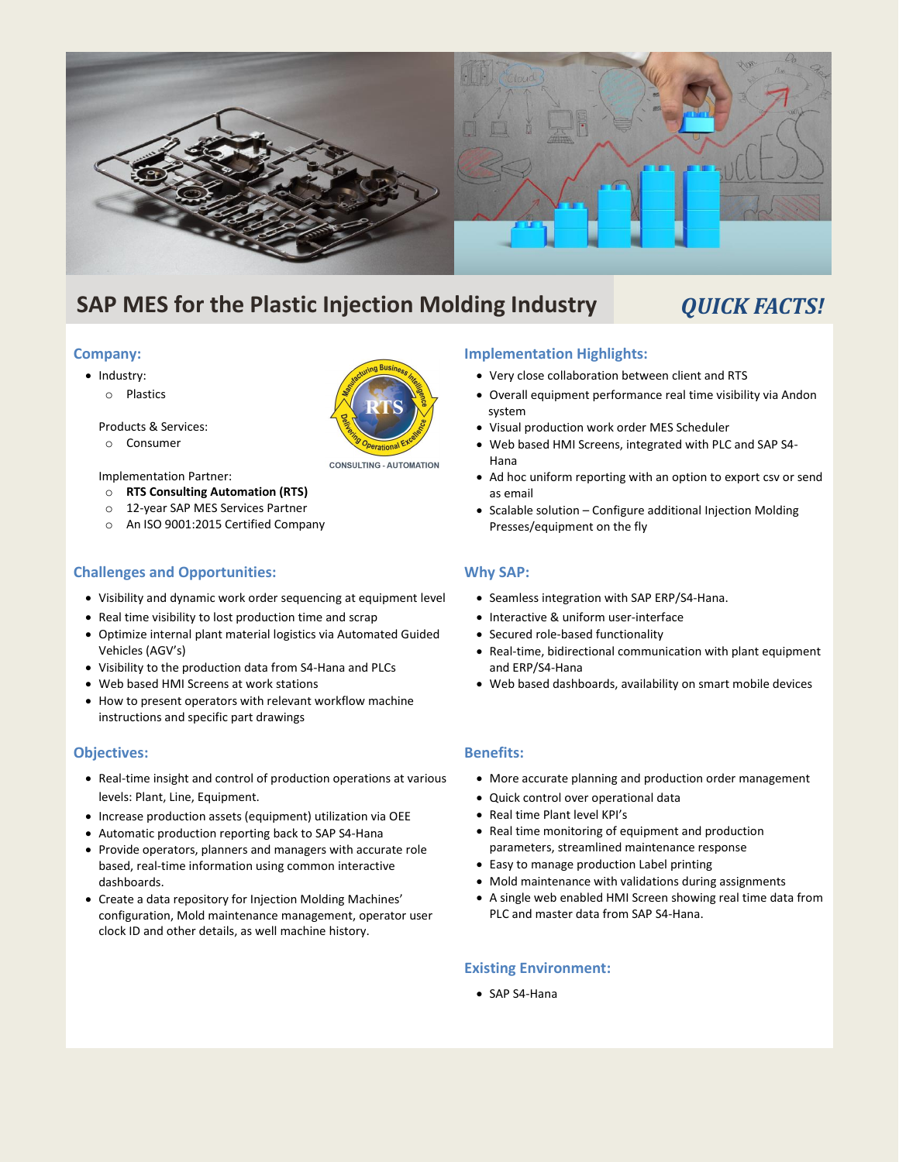

# **SAP MES for the Plastic Injection Molding Industry** *QUICK FACTS!*

# **Company:**

- Industry:
	- o Plastics



o Consumer

#### • Implementation Partner:

- o **RTS Consulting Automation (RTS)**
- o 12-year SAP MES Services Partner
- o An ISO 9001:2015 Certified Company

# **Challenges and Opportunities:**

- Visibility and dynamic work order sequencing at equipment level
- Real time visibility to lost production time and scrap
- Optimize internal plant material logistics via Automated Guided Vehicles (AGV's)
- Visibility to the production data from S4-Hana and PLCs
- Web based HMI Screens at work stations
- How to present operators with relevant workflow machine instructions and specific part drawings

## **Objectives:**

- Real-time insight and control of production operations at various levels: Plant, Line, Equipment.
- Increase production assets (equipment) utilization via OEE
- Automatic production reporting back to SAP S4-Hana
- Provide operators, planners and managers with accurate role based, real-time information using common interactive dashboards.
- Create a data repository for Injection Molding Machines' configuration, Mold maintenance management, operator user clock ID and other details, as well machine history.

# **Implementation Highlights:**

- Very close collaboration between client and RTS
- Overall equipment performance real time visibility via Andon system
- Visual production work order MES Scheduler
- Web based HMI Screens, integrated with PLC and SAP S4- Hana
- Ad hoc uniform reporting with an option to export csv or send as email
- Scalable solution Configure additional Injection Molding Presses/equipment on the fly

# **Why SAP:**

- Seamless integration with SAP ERP/S4-Hana.
- Interactive & uniform user-interface
- Secured role-based functionality
- Real-time, bidirectional communication with plant equipment and ERP/S4-Hana
- Web based dashboards, availability on smart mobile devices

# **Benefits:**

- More accurate planning and production order management
- Quick control over operational data
- Real time Plant level KPI's
- Real time monitoring of equipment and production parameters, streamlined maintenance response
- Easy to manage production Label printing
- Mold maintenance with validations during assignments
- A single web enabled HMI Screen showing real time data from PLC and master data from SAP S4-Hana.

# **Existing Environment:**

• SAP S4-Hana



**CONSULTING - AUTOMATION** 

- 
- 
-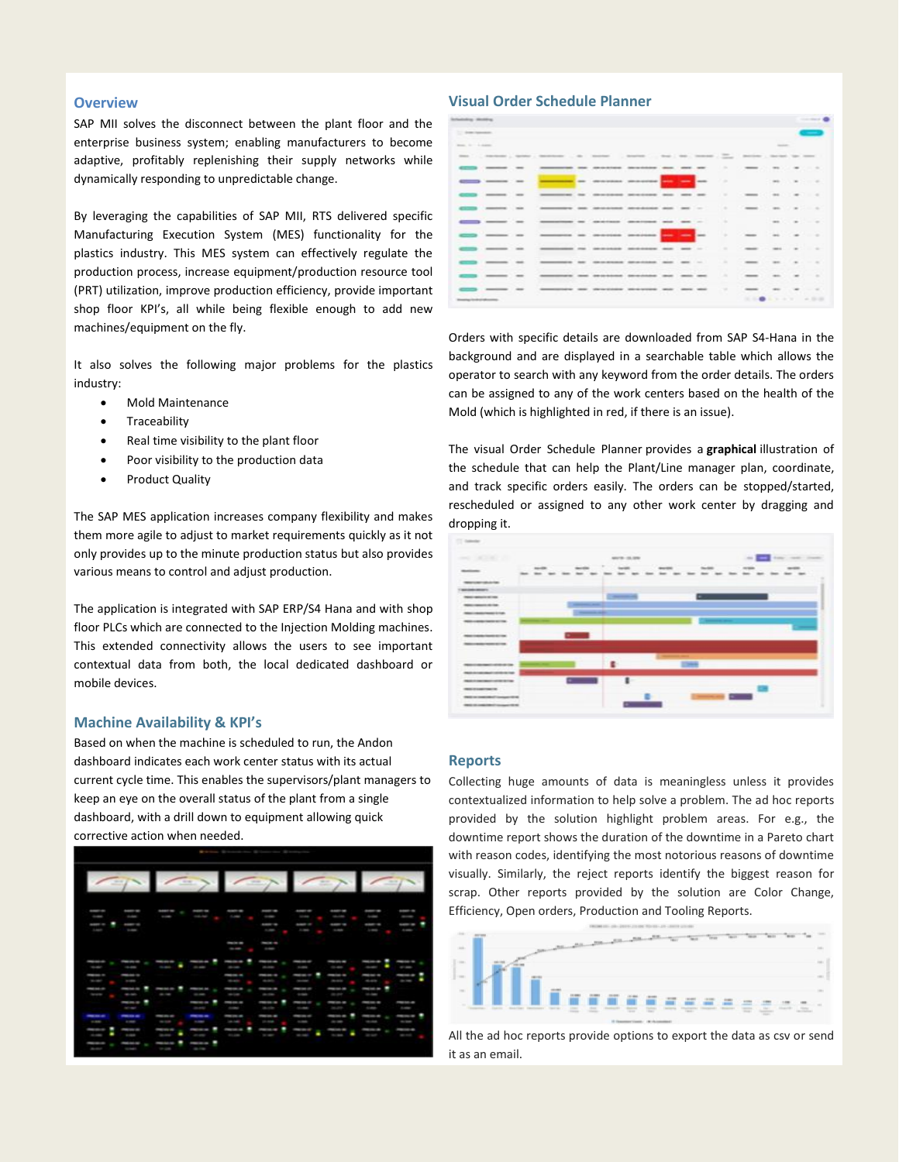#### **Overview**

SAP MII solves the disconnect between the plant floor and the enterprise business system; enabling manufacturers to become adaptive, profitably replenishing their supply networks while dynamically responding to unpredictable change.

By leveraging the capabilities of SAP MII, RTS delivered specific Manufacturing Execution System (MES) functionality for the plastics industry. This MES system can effectively regulate the production process, increase equipment/production resource tool (PRT) utilization, improve production efficiency, provide important shop floor KPI's, all while being flexible enough to add new machines/equipment on the fly.

It also solves the following major problems for the plastics industry:

- Mold Maintenance
- **Traceability**
- Real time visibility to the plant floor
- Poor visibility to the production data
- Product Quality

The SAP MES application increases company flexibility and makes them more agile to adjust to market requirements quickly as it not only provides up to the minute production status but also provides various means to control and adjust production.

The application is integrated with SAP ERP/S4 Hana and with shop floor PLCs which are connected to the Injection Molding machines. This extended connectivity allows the users to see important contextual data from both, the local dedicated dashboard or mobile devices.

#### **Machine Availability & KPI's**

Based on when the machine is scheduled to run, the Andon dashboard indicates each work center status with its actual current cycle time. This enables the supervisors/plant managers to keep an eye on the overall status of the plant from a single dashboard, with a drill down to equipment allowing quick corrective action when needed.



#### **Visual Order Schedule Planner**

| <b>Suitable Motive</b>              |                                  |               |                                                                                                             |                                                              |                                                    |                   |    |                                                                                                                           |               |                                                                                                                                                                                                                                                                                                                                                                                                                                                                            |                                                                                                |                          |                   | $\sim$ $\sim$ |
|-------------------------------------|----------------------------------|---------------|-------------------------------------------------------------------------------------------------------------|--------------------------------------------------------------|----------------------------------------------------|-------------------|----|---------------------------------------------------------------------------------------------------------------------------|---------------|----------------------------------------------------------------------------------------------------------------------------------------------------------------------------------------------------------------------------------------------------------------------------------------------------------------------------------------------------------------------------------------------------------------------------------------------------------------------------|------------------------------------------------------------------------------------------------|--------------------------|-------------------|---------------|
| To the funeral                      |                                  |               |                                                                                                             |                                                              |                                                    |                   |    |                                                                                                                           |               |                                                                                                                                                                                                                                                                                                                                                                                                                                                                            |                                                                                                |                          |                   |               |
| more than 4-states.                 |                                  |               |                                                                                                             |                                                              |                                                    |                   |    |                                                                                                                           |               |                                                                                                                                                                                                                                                                                                                                                                                                                                                                            | <b>SERVICE</b>                                                                                 |                          |                   |               |
|                                     |                                  |               | 000 - Delbarr   Grand   George   G.   Grand   Grand   Del   Grand   The   Grand   Car   Grand   Gr.   Grand |                                                              |                                                    |                   |    |                                                                                                                           |               |                                                                                                                                                                                                                                                                                                                                                                                                                                                                            |                                                                                                |                          |                   |               |
|                                     | $-$                              |               |                                                                                                             | me monitore monitore.                                        |                                                    |                   | -- |                                                                                                                           |               |                                                                                                                                                                                                                                                                                                                                                                                                                                                                            | $100 - 100 - 100$                                                                              |                          |                   |               |
|                                     | <b>College Commencer Service</b> |               |                                                                                                             | <b>CONTRACTOR</b> ON CONSUMIST DESCRIPTION <b>CONTRACTOR</b> |                                                    |                   |    |                                                                                                                           |               |                                                                                                                                                                                                                                                                                                                                                                                                                                                                            |                                                                                                |                          |                   |               |
|                                     | _____                            | <b>STATE</b>  | ______                                                                                                      | considered personnels son see                                |                                                    |                   |    | $\frac{1}{2} \left( \frac{1}{2} \right) \left( \frac{1}{2} \right) \left( \frac{1}{2} \right) \left( \frac{1}{2} \right)$ | ٠             | $\frac{1}{2} \left( \frac{1}{2} \right) \left( \frac{1}{2} \right) \left( \frac{1}{2} \right) \left( \frac{1}{2} \right) \left( \frac{1}{2} \right) \left( \frac{1}{2} \right) \left( \frac{1}{2} \right) \left( \frac{1}{2} \right) \left( \frac{1}{2} \right) \left( \frac{1}{2} \right) \left( \frac{1}{2} \right) \left( \frac{1}{2} \right) \left( \frac{1}{2} \right) \left( \frac{1}{2} \right) \left( \frac{1}{2} \right) \left( \frac{1}{2} \right) \left( \frac$ | $-$                                                                                            |                          |                   |               |
|                                     | ____                             |               |                                                                                                             | INTERNATIONAL ORDER ORDER DESCRIPTION AND CONTROL CONTROL    |                                                    |                   |    |                                                                                                                           | ۰             |                                                                                                                                                                                                                                                                                                                                                                                                                                                                            | and the control of the con-                                                                    |                          |                   |               |
|                                     | ____                             |               |                                                                                                             | constitute detectional and set in                            |                                                    |                   |    |                                                                                                                           | $\sim$        |                                                                                                                                                                                                                                                                                                                                                                                                                                                                            | we will be a con-                                                                              |                          |                   |               |
|                                     | ------                           |               | demonstrated and convenience provided and the pro-                                                          |                                                              |                                                    |                   |    |                                                                                                                           | $\sim$        |                                                                                                                                                                                                                                                                                                                                                                                                                                                                            | ----                                                                                           |                          |                   |               |
|                                     | ____                             | ---           |                                                                                                             | seem the concentrate perdebates deal and in                  |                                                    |                   |    |                                                                                                                           |               |                                                                                                                                                                                                                                                                                                                                                                                                                                                                            | <b>CONTRACT</b>                                                                                |                          | <b>STATISTICS</b> |               |
|                                     |                                  |               |                                                                                                             |                                                              | concernments and construction service. Service and |                   |    |                                                                                                                           | ۰             |                                                                                                                                                                                                                                                                                                                                                                                                                                                                            | <b>SERVICE</b>                                                                                 |                          | $\cdots$          |               |
|                                     |                                  | $-$           | <b>MARKETING AND ARR DESCRIPTION</b>                                                                        |                                                              |                                                    | <b>CONTRACTOR</b> |    |                                                                                                                           |               |                                                                                                                                                                                                                                                                                                                                                                                                                                                                            | $-0.0000$                                                                                      | $\overline{\phantom{a}}$ |                   | $\sim$        |
|                                     |                                  | $\frac{1}{2}$ |                                                                                                             |                                                              | development announcement and                       |                   |    | sense. sense.                                                                                                             | $\rightarrow$ |                                                                                                                                                                                                                                                                                                                                                                                                                                                                            | $\frac{1}{2} \left( \frac{1}{2} \right) \left( \frac{1}{2} \right) \left( \frac{1}{2} \right)$ | $\sim$                   | <b>COLLEGE</b>    |               |
| <b>Presence to drug advertising</b> |                                  |               |                                                                                                             |                                                              |                                                    |                   |    |                                                                                                                           |               |                                                                                                                                                                                                                                                                                                                                                                                                                                                                            | <b>HABAYAY ARE</b>                                                                             |                          |                   |               |

Orders with specific details are downloaded from SAP S4-Hana in the background and are displayed in a searchable table which allows the operator to search with any keyword from the order details. The orders can be assigned to any of the work centers based on the health of the Mold (which is highlighted in red, if there is an issue).

The visual Order Schedule Planner provides a **graphical** illustration of the schedule that can help the Plant/Line manager plan, coordinate, and track specific orders easily. The orders can be stopped/started, rescheduled or assigned to any other work center by dragging and dropping it.



#### **Reports**

Collecting huge amounts of data is meaningless unless it provides contextualized information to help solve a problem. The ad hoc reports provided by the solution highlight problem areas. For e.g., the downtime report shows the duration of the downtime in a Pareto chart with reason codes, identifying the most notorious reasons of downtime visually. Similarly, the reject reports identify the biggest reason for scrap. Other reports provided by the solution are Color Change, Efficiency, Open orders, Production and Tooling Reports.



All the ad hoc reports provide options to export the data as csv or send it as an email.